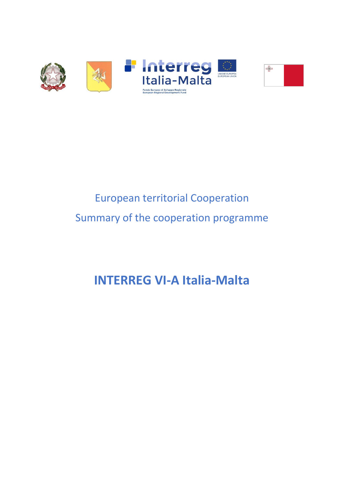

# European territorial Cooperation Summary of the cooperation programme

# **INTERREG VI-A Italia-Malta**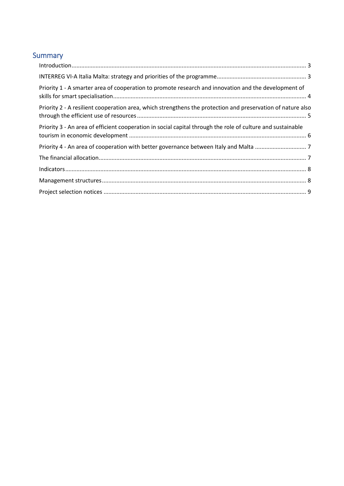# Summary

| Priority 1 - A smarter area of cooperation to promote research and innovation and the development of        |  |
|-------------------------------------------------------------------------------------------------------------|--|
| Priority 2 - A resilient cooperation area, which strengthens the protection and preservation of nature also |  |
| Priority 3 - An area of efficient cooperation in social capital through the role of culture and sustainable |  |
|                                                                                                             |  |
|                                                                                                             |  |
|                                                                                                             |  |
|                                                                                                             |  |
|                                                                                                             |  |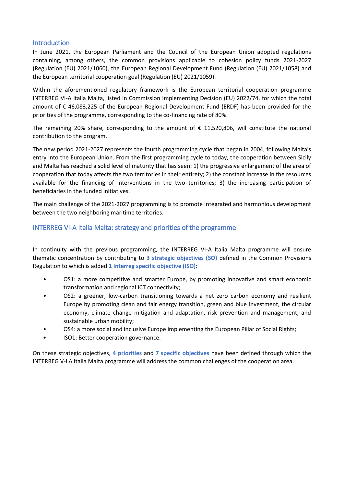## <span id="page-2-0"></span>Introduction

In June 2021, the European Parliament and the Council of the European Union adopted regulations containing, among others, the common provisions applicable to cohesion policy funds 2021-2027 (Regulation (EU) 2021/1060), the European Regional Development Fund (Regulation (EU) 2021/1058) and the European territorial cooperation goal (Regulation (EU) 2021/1059).

Within the aforementioned regulatory framework is the European territorial cooperation programme INTERREG VI-A Italia Malta, listed in Commission Implementing Decision (EU) 2022/74, for which the total amount of € 46,083,225 of the European Regional Development Fund (ERDF) has been provided for the priorities of the programme, corresponding to the co-financing rate of 80%.

The remaining 20% share, corresponding to the amount of  $\epsilon$  11,520,806, will constitute the national contribution to the program.

The new period 2021-2027 represents the fourth programming cycle that began in 2004, following Malta's entry into the European Union. From the first programming cycle to today, the cooperation between Sicily and Malta has reached a solid level of maturity that has seen: 1) the progressive enlargement of the area of cooperation that today affects the two territories in their entirety; 2) the constant increase in the resources available for the financing of interventions in the two territories; 3) the increasing participation of beneficiaries in the funded initiatives.

The main challenge of the 2021-2027 programming is to promote integrated and harmonious development between the two neighboring maritime territories.

# <span id="page-2-1"></span>INTERREG VI-A Italia Malta: strategy and priorities of the programme

In continuity with the previous programming, the INTERREG VI-A Italia Malta programme will ensure thematic concentration by contributing to **3 strategic objectives (SO)** defined in the Common Provisions Regulation to which is added **1 Interreg specific objective (ISO)**:

- OS1: a more competitive and smarter Europe, by promoting innovative and smart economic transformation and regional ICT connectivity;
- OS2: a greener, low-carbon transitioning towards a net zero carbon economy and resilient Europe by promoting clean and fair energy transition, green and blue investment, the circular economy, climate change mitigation and adaptation, risk prevention and management, and sustainable urban mobility;
- OS4: a more social and inclusive Europe implementing the European Pillar of Social Rights;
- ISO1: Better cooperation governance.

On these strategic objectives**, 4 priorities** and **7 specific objectives** have been defined through which the INTERREG V-I A Italia Malta programme will address the common challenges of the cooperation area.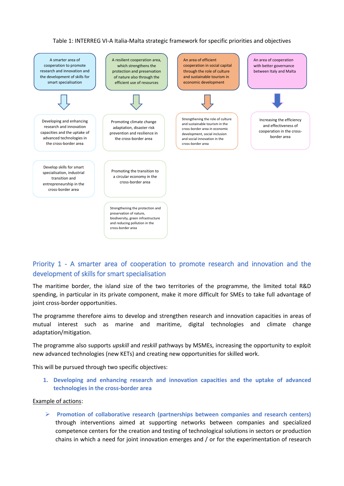#### Table 1: INTERREG VI-A Italia-Malta strategic framework for specific priorities and objectives



# <span id="page-3-0"></span>Priority 1 - A smarter area of cooperation to promote research and innovation and the development of skills for smart specialisation

The maritime border, the island size of the two territories of the programme, the limited total R&D spending, in particular in its private component, make it more difficult for SMEs to take full advantage of joint cross-border opportunities.

The programme therefore aims to develop and strengthen research and innovation capacities in areas of mutual interest such as marine and maritime, digital technologies and climate change adaptation/mitigation.

The programme also supports *upskill* and *reskill* pathways by MSMEs, increasing the opportunity to exploit new advanced technologies (new KETs) and creating new opportunities for skilled work.

This will be pursued through two specific objectives:

**1. Developing and enhancing research and innovation capacities and the uptake of advanced technologies in the cross-border area**

#### Example of actions:

 **Promotion of collaborative research (partnerships between companies and research centers)** through interventions aimed at supporting networks between companies and specialized competence centers for the creation and testing of technological solutions in sectors or production chains in which a need for joint innovation emerges and / or for the experimentation of research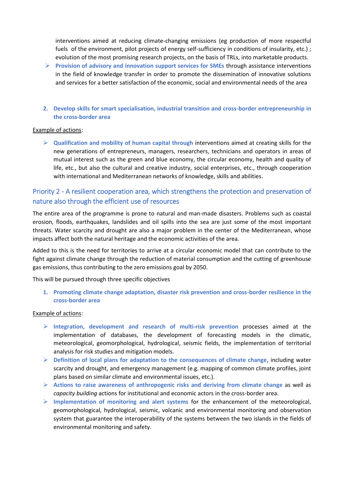interventions aimed at reducing climate-changing emissions (eg production of more respectful fuels of the environment, pilot projects of energy self-sufficiency in conditions of insularity, etc.); evolution of the most promising research projects, on the basis of TRLs, into marketable products.

- **Provision of advisory and innovation support services for SMEs** through assistance interventions in the field of knowledge transfer in order to promote the dissemination of innovative solutions and services for a better satisfaction of the economic, social and environmental needs of the area
- **2. Develop skills for smart specialisation, industrial transition and cross-border entrepreneurship in the cross-border area**

#### Example of actions:

 **Qualification and mobility of human capital through** interventions aimed at creating skills for the new generations of entrepreneurs, managers, researchers, technicians and operators in areas of mutual interest such as the green and blue economy, the circular economy, health and quality of life, etc., but also the cultural and creative industry, social enterprises, etc., through cooperation with international and Mediterranean networks of knowledge, skills and abilities.

# <span id="page-4-0"></span>Priority 2 - A resilient cooperation area, which strengthens the protection and preservation of nature also through the efficient use of resources

The entire area of the programme is prone to natural and man-made disasters. Problems such as coastal erosion, floods, earthquakes, landslides and oil spills into the sea are just some of the most important threats. Water scarcity and drought are also a major problem in the center of the Mediterranean, whose impacts affect both the natural heritage and the economic activities of the area.

Added to this is the need for territories to arrive at a circular economic model that can contribute to the fight against climate change through the reduction of material consumption and the cutting of greenhouse gas emissions, thus contributing to the zero emissions goal by 2050.

This will be pursued through three specific objectives

**1. Promoting climate change adaptation, disaster risk prevention and cross-border resilience in the cross-border area**

#### Example of actions:

- **Integration, development and research of multi-risk prevention** processes aimed at the implementation of databases, the development of forecasting models in the climatic, meteorological, geomorphological, hydrological, seismic fields, the implementation of territorial analysis for risk studies and mitigation models**.**
- **Definition of local plans for adaptation to the consequences of climate change**, including water scarcity and drought, and emergency management (e.g. mapping of common climate profiles, joint plans based on similar climate and environmental issues, etc.).
- **Actions to raise awareness of anthropogenic risks and deriving from climate change** as well as *capacity building* actions for institutional and economic actors in the cross-border area.
- **Implementation of monitoring and alert systems** for the enhancement of the meteorological, geomorphological, hydrological, seismic, volcanic and environmental monitoring and observation system that guarantee the interoperability of the systems between the two islands in the fields of environmental monitoring and safety.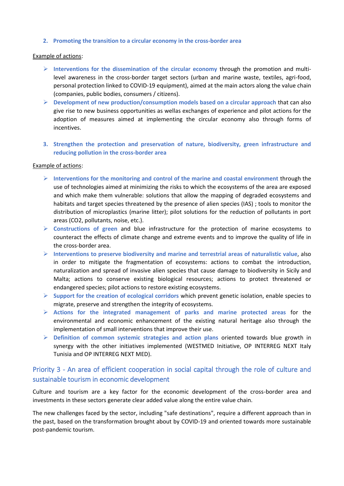#### **2. Promoting the transition to a circular economy in the cross-border area**

#### Example of actions:

- Interventions for the dissemination of the circular economy through the promotion and multilevel awareness in the cross-border target sectors (urban and marine waste, textiles, agri-food, personal protection linked to COVID-19 equipment), aimed at the main actors along the value chain (companies, public bodies, consumers / citizens).
- **Development of new production/consumption models based on a circular approach** that can also give rise to new business opportunities as wellas exchanges of experience and pilot actions for the adoption of measures aimed at implementing the circular economy also through forms of incentives.
- **3. Strengthen the protection and preservation of nature, biodiversity, green infrastructure and reducing pollution in the cross-border area**

#### Example of actions:

- **Interventions for the monitoring and control of the marine and coastal environment** through the use of technologies aimed at minimizing the risks to which the ecosystems of the area are exposed and which make them vulnerable: solutions that allow the mapping of degraded ecosystems and habitats and target species threatened by the presence of alien species (IAS) ; tools to monitor the distribution of microplastics (marine litter); pilot solutions for the reduction of pollutants in port areas (CO2, pollutants, noise, etc.).
- **Constructions of green** and blue infrastructure for the protection of marine ecosystems to counteract the effects of climate change and extreme events and to improve the quality of life in the cross-border area.
- **Interventions to preserve biodiversity and marine and terrestrial areas of naturalistic value, also** in order to mitigate the fragmentation of ecosystems: actions to combat the introduction, naturalization and spread of invasive alien species that cause damage to biodiversity in Sicily and Malta; actions to conserve existing biological resources; actions to protect threatened or endangered species; pilot actions to restore existing ecosystems.
- **Support for the creation of ecological corridors** which prevent genetic isolation, enable species to migrate, preserve and strengthen the integrity of ecosystems.
- **Actions for the integrated management of parks and marine protected areas** for the environmental and economic enhancement of the existing natural heritage also through the implementation of small interventions that improve their use.
- **Definition of common systemic strategies and action plans** oriented towards blue growth in synergy with the other initiatives implemented (WESTMED Initiative, OP INTERREG NEXT Italy Tunisia and OP INTERREG NEXT MED).

# <span id="page-5-0"></span>Priority 3 - An area of efficient cooperation in social capital through the role of culture and sustainable tourism in economic development

Culture and tourism are a key factor for the economic development of the cross-border area and investments in these sectors generate clear added value along the entire value chain.

The new challenges faced by the sector, including "safe destinations", require a different approach than in the past, based on the transformation brought about by COVID-19 and oriented towards more sustainable post-pandemic tourism.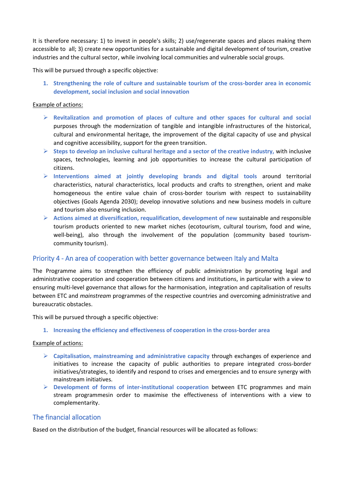It is therefore necessary: 1) to invest in people's skills; 2) use/regenerate spaces and places making them accessible to all; 3) create new opportunities for a sustainable and digital development of tourism, creative industries and the cultural sector, while involving local communities and vulnerable social groups.

This will be pursued through a specific objective:

**1. Strengthening the role of culture and sustainable tourism of the cross-border area in economic development, social inclusion and social innovation**

### Example of actions:

- **Revitalization and promotion of places of culture and other spaces for cultural and social** purposes through the modernization of tangible and intangible infrastructures of the historical, cultural and environmental heritage, the improvement of the digital capacity of use and physical and cognitive accessibility, support for the green transition.
- $\triangleright$  Steps to develop an inclusive cultural heritage and a sector of the creative industry, with inclusive spaces, technologies, learning and job opportunities to increase the cultural participation of citizens.
- **Interventions aimed at jointly developing brands and digital tools** around territorial characteristics, natural characteristics, local products and crafts to strengthen, orient and make homogeneous the entire value chain of cross-border tourism with respect to sustainability objectives (Goals Agenda 2030); develop innovative solutions and new business models in culture and tourism also ensuring inclusion.
- **Actions aimed at diversification, requalification, development of new** sustainable and responsible tourism products oriented to new market niches (ecotourism, cultural tourism, food and wine, well-being), also through the involvement of the population (community based tourismcommunity tourism).

## <span id="page-6-0"></span>Priority 4 - An area of cooperation with better governance between Italy and Malta

The Programme aims to strengthen the efficiency of public administration by promoting legal and administrative cooperation and cooperation between citizens and institutions, in particular with a view to ensuring multi-level governance that allows for the harmonisation, integration and capitalisation of results between ETC and *mainstream* programmes of the respective countries and overcoming administrative and bureaucratic obstacles.

This will be pursued through a specific objective:

**1. Increasing the efficiency and effectiveness of cooperation in the cross-border area**

#### Example of actions:

- **Capitalisation, mainstreaming and administrative capacity** through exchanges of experience and initiatives to increase the capacity of public authorities to prepare integrated cross-border initiatives/strategies, to identify and respond to crises and emergencies and to ensure synergy with mainstream initiatives.
- **Development of forms of inter-institutional cooperation** between ETC programmes and main stream programmesin order to maximise the effectiveness of interventions with a view to complementarity.

# <span id="page-6-1"></span>The financial allocation

Based on the distribution of the budget, financial resources will be allocated as follows: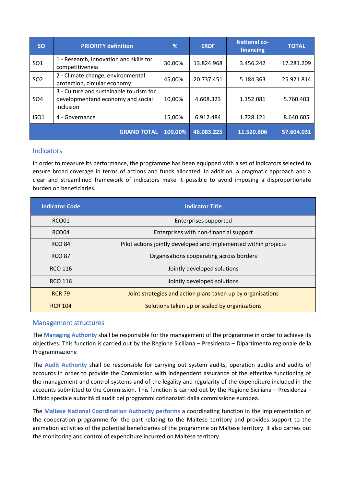| <b>SO</b>        | <b>PRIORITY definition</b>                                                                | %       | <b>ERDF</b> | <b>National co-</b><br>financing | <b>TOTAL</b> |
|------------------|-------------------------------------------------------------------------------------------|---------|-------------|----------------------------------|--------------|
| SO <sub>1</sub>  | 1 - Research, innovation and skills for<br>competitiveness                                | 30,00%  | 13.824.968  | 3.456.242                        | 17.281.209   |
| SO <sub>2</sub>  | 2 - Climate change, environmental<br>protection, circular economy                         | 45,00%  | 20.737.451  | 5.184.363                        | 25.921.814   |
| SO <sub>4</sub>  | 3 - Culture and sustainable tourism for<br>developmentand economy and social<br>inclusion | 10,00%  | 4.608.323   | 1.152.081                        | 5.760.403    |
| ISO <sub>1</sub> | 4 - Governance                                                                            | 15,00%  | 6.912.484   | 1.728.121                        | 8.640.605    |
|                  | <b>GRAND TOTAL</b>                                                                        | 100,00% | 46.083.225  | 11.520.806                       | 57.604.031   |

## <span id="page-7-0"></span>**Indicators**

In order to measure its performance, the programme has been equipped with a set of indicators selected to ensure broad coverage in terms of actions and funds allocated. In addition, a pragmatic approach and a clear and streamlined framework of indicators make it possible to avoid imposing a disproportionate burden on beneficiaries.

| <b>Indicator Code</b> | <b>Indicator Title</b>                                          |  |  |
|-----------------------|-----------------------------------------------------------------|--|--|
| RCO01                 | Enterprises supported                                           |  |  |
| RCO04                 | Enterprises with non-financial support                          |  |  |
| <b>RCO 84</b>         | Pilot actions jointly developed and implemented within projects |  |  |
| <b>RCO 87</b>         | Organisations cooperating across borders                        |  |  |
| RCO 116               | Jointly developed solutions                                     |  |  |
| RCO 116               | Jointly developed solutions                                     |  |  |
| <b>RCR 79</b>         | Joint strategies and action plans taken up by organisations     |  |  |
| <b>RCR 104</b>        | Solutions taken up or scaled by organizations                   |  |  |

## <span id="page-7-1"></span>Management structures

The **Managing Authority** shall be responsible for the management of the programme in order to achieve its objectives. This function is carried out by the Regione Siciliana – Presidenza – Dipartimento regionale della Programmazione

The **Audit Authority** shall be responsible for carrying out system audits, operation audits and audits of accounts in order to provide the Commission with independent assurance of the effective functioning of the management and control systems and of the legality and regularity of the expenditure included in the accounts submitted to the Commission. This function is carried out by the Regione Siciliana – Presidenza – Ufficio speciale autorità di audit dei programmi cofinanziati dalla commissione europea.

The **Maltese National Coordination Authority performs** a coordinating function in the implementation of the cooperation programme for the part relating to the Maltese territory and provides support to the animation activities of the potential beneficiaries of the programme on Maltese territory. It also carries out the monitoring and control of expenditure incurred on Maltese territory.